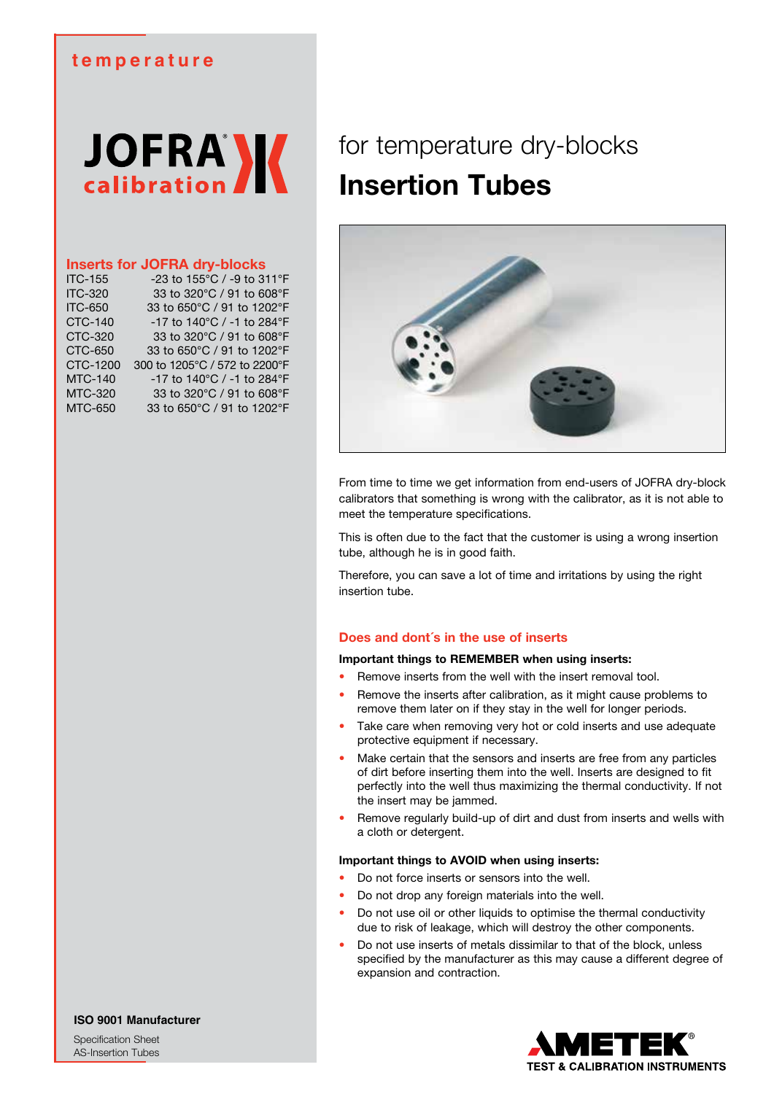# **temperature**

# **JOFRA**

# **Inserts for JOFRA dry-blocks**

| <b>ITC-155</b> | -23 to 155°C / -9 to 311°F    |
|----------------|-------------------------------|
| <b>ITC-320</b> | 33 to 320°C / 91 to 608°F     |
| <b>ITC-650</b> | 33 to 650°C / 91 to 1202°F    |
| <b>CTC-140</b> | -17 to 140°C / -1 to 284°F    |
| CTC-320        | 33 to 320°C / 91 to 608°F     |
| <b>CTC-650</b> | 33 to 650°C / 91 to 1202°F    |
| CTC-1200       | 300 to 1205°C / 572 to 2200°F |
| <b>MTC-140</b> | -17 to 140°C / -1 to 284°F    |
| <b>MTC-320</b> | 33 to 320°C / 91 to 608°F     |
| <b>MTC-650</b> | 33 to 650°C / 91 to 1202°F    |
|                |                               |

# for temperature dry-blocks **Insertion Tubes**



From time to time we get information from end-users of JOFRA dry-block calibrators that something is wrong with the calibrator, as it is not able to meet the temperature specifications.

This is often due to the fact that the customer is using a wrong insertion tube, although he is in good faith.

Therefore, you can save a lot of time and irritations by using the right insertion tube.

# **Does and dont´s in the use of inserts**

# **Important things to REMEMBER when using inserts:**

- Remove inserts from the well with the insert removal tool.
- Remove the inserts after calibration, as it might cause problems to remove them later on if they stay in the well for longer periods.
- Take care when removing very hot or cold inserts and use adequate protective equipment if necessary.
- Make certain that the sensors and inserts are free from any particles of dirt before inserting them into the well. Inserts are designed to fit perfectly into the well thus maximizing the thermal conductivity. If not the insert may be jammed.
- Remove regularly build-up of dirt and dust from inserts and wells with a cloth or detergent.

# **Important things to AVOID when using inserts:**

- Do not force inserts or sensors into the well.
- Do not drop any foreign materials into the well.
- Do not use oil or other liquids to optimise the thermal conductivity due to risk of leakage, which will destroy the other components.
- Do not use inserts of metals dissimilar to that of the block, unless specified by the manufacturer as this may cause a different degree of expansion and contraction.



**ISO 9001 Manufacturer**

Specification Sheet AS-Insertion Tubes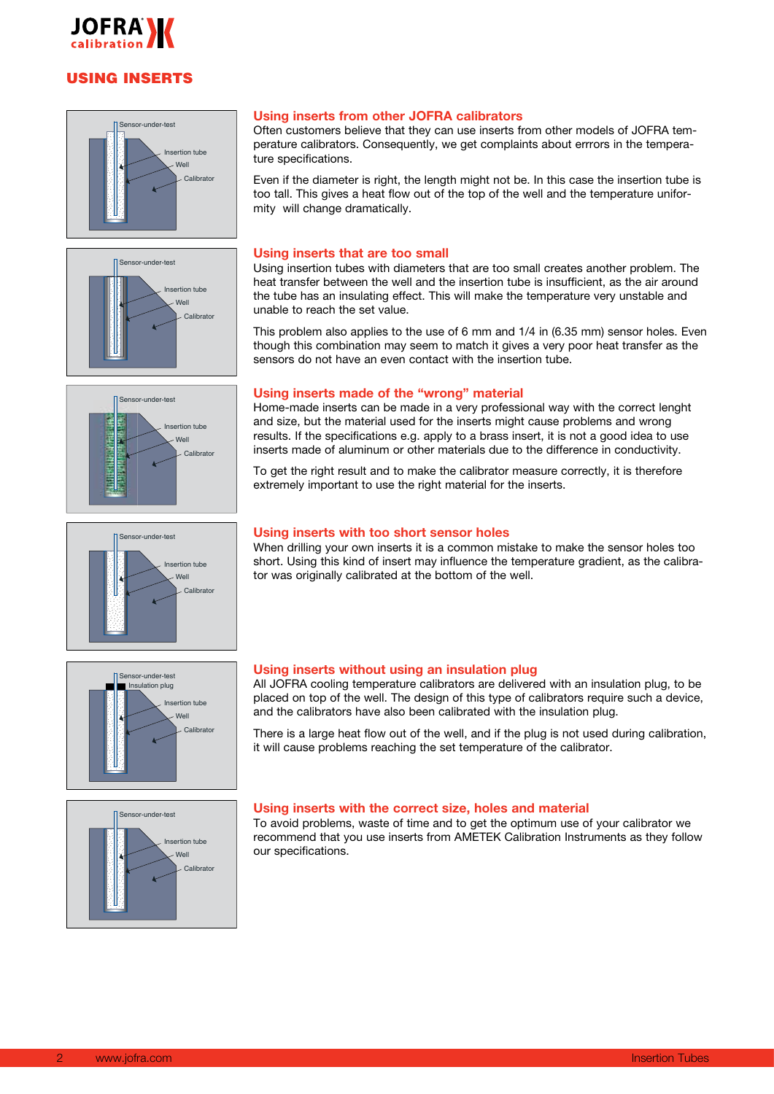

# USING INSERTS









### **Using inserts from other JOFRA calibrators**

Often customers believe that they can use inserts from other models of JOFRA temperature calibrators. Consequently, we get complaints about errrors in the temperature specifications.

Even if the diameter is right, the length might not be. In this case the insertion tube is too tall. This gives a heat flow out of the top of the well and the temperature uniformity will change dramatically.

# **Using inserts that are too small**

Using insertion tubes with diameters that are too small creates another problem. The heat transfer between the well and the insertion tube is insufficient, as the air around the tube has an insulating effect. This will make the temperature very unstable and unable to reach the set value.

This problem also applies to the use of 6 mm and 1/4 in (6.35 mm) sensor holes. Even though this combination may seem to match it gives a very poor heat transfer as the sensors do not have an even contact with the insertion tube.

# **Using inserts made of the "wrong" material**

Home-made inserts can be made in a very professional way with the correct lenght and size, but the material used for the inserts might cause problems and wrong results. If the specifications e.g. apply to a brass insert, it is not a good idea to use inserts made of aluminum or other materials due to the difference in conductivity.

To get the right result and to make the calibrator measure correctly, it is therefore extremely important to use the right material for the inserts.

# **Using inserts with too short sensor holes**

When drilling your own inserts it is a common mistake to make the sensor holes too short. Using this kind of insert may influence the temperature gradient, as the calibrator was originally calibrated at the bottom of the well.





### **Using inserts without using an insulation plug**

All JOFRA cooling temperature calibrators are delivered with an insulation plug, to be placed on top of the well. The design of this type of calibrators require such a device, and the calibrators have also been calibrated with the insulation plug.

There is a large heat flow out of the well, and if the plug is not used during calibration, it will cause problems reaching the set temperature of the calibrator.

# **Using inserts with the correct size, holes and material**

To avoid problems, waste of time and to get the optimum use of your calibrator we recommend that you use inserts from AMETEK Calibration Instruments as they follow our specifications.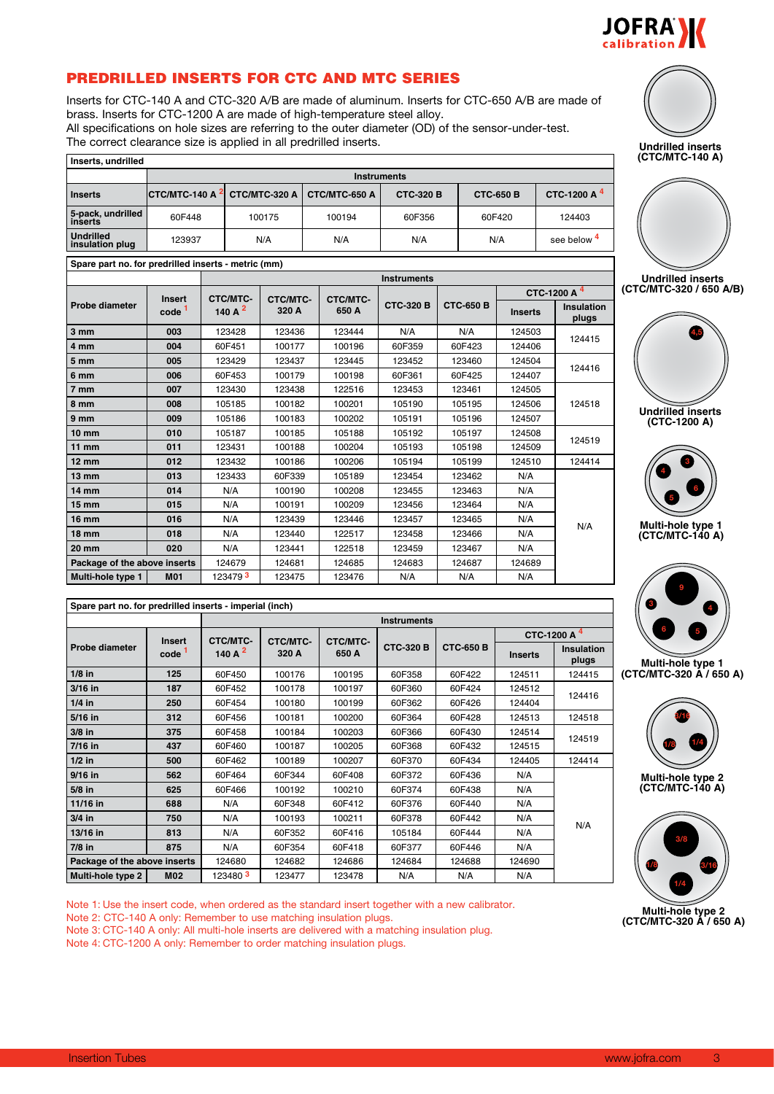

# PREDRILLED INSERTS FOR CTC AND MTC SERIES

Inserts for CTC-140 A and CTC-320 A/B are made of aluminum. Inserts for CTC-650 A/B are made of brass. Inserts for CTC-1200 A are made of high-temperature steel alloy. All specifications on hole sizes are referring to the outer diameter (OD) of the sensor-under-test.

| Inserts, undrilled           |                         |                    |               |                  |                  |                         |  |  |  |  |
|------------------------------|-------------------------|--------------------|---------------|------------------|------------------|-------------------------|--|--|--|--|
|                              |                         | <b>Instruments</b> |               |                  |                  |                         |  |  |  |  |
| l Inserts                    | $ $ CTC/MTC-140 A $^2 $ | CTC/MTC-320 A      | CTC/MTC-650 A | <b>CTC-320 B</b> | <b>CTC-650 B</b> | CTC-1200 A <sup>4</sup> |  |  |  |  |
| 5-pack, undrilled<br>inserts | 60F448                  | 100175             | 100194        | 60F356           | 60F420           | 124403                  |  |  |  |  |
| Undrilled<br>insulation plug | 123937                  | N/A                | N/A           | N/A              | N/A              | see below 4             |  |  |  |  |

**Spare part no. for predrilled inserts - metric (mm) Instruments Probe diameter Insert code <sup>1</sup> CTC/MTC-140 A 2 CTC/MTC-320 A CTC/MTC-650 A CTC-320 B CTC-650 B 3 mm 003** 123428 123436 123444 N/A N/A 124503 **4 mm 004** 60F451 100177 100196 60F359 60F423 124406 **5 mm 005** 123429 123437 123445 123452 123460 124504 **6 mm 006** 60F453 100179 100198 60F361 60F425 124407 **7 mm 007** 123430 123438 122516 123453 123461 124505 **8 mm** | 008 | 105185 | 100182 | 100201 | 105190 | 105195 | 124506 | 124518 **9 mm 009** 105186 100183 100202 105191 105196 124507 **10 mm 010** 105187 100185 105188 105192 105197 124508 **11 mm 011** 123431 100188 100204 105193 105198 124509 **12 mm 012** 123432 100186 100206 105194 105199 124510 124414 **13 mm 013** 123433 60F339 105189 123454 123462 N/A **14 mm 014** N/A 100190 100208 123455 123463 N/A **15 mm 015** N/A 100191 100209 123456 123464 N/A **16 mm 016** N/A 123439 123446 123457 123465 N/A **18 mm 018** N/A 123440 122517 123458 123466 N/A **20 mm 020** N/A 123441 122518 123459 123467 N/A **Package of the above inserts** | 124679 | 124681 | 124685 | 124683 | 124687 | 124689 **Multi-hole type 1 M01** 123479 **3** 123475 123476 N/A N/A N/A N/A

| Spare part no. for predrilled inserts - imperial (inch) |                   |            |                 |          |                    |                  |                |                           |  |
|---------------------------------------------------------|-------------------|------------|-----------------|----------|--------------------|------------------|----------------|---------------------------|--|
|                                                         |                   |            |                 |          | <b>Instruments</b> |                  |                |                           |  |
|                                                         | <b>Insert</b>     | CTC/MTC-   | <b>CTC/MTC-</b> | CTC/MTC- |                    |                  |                | CTC-1200 A 4              |  |
| Probe diameter                                          | code <sup>1</sup> | 140 A $^2$ | 320 A           | 650 A    | <b>CTC-320 B</b>   | <b>CTC-650 B</b> | <b>Inserts</b> | <b>Insulatic</b><br>plugs |  |
| $1/8$ in                                                | 125               | 60F450     | 100176          | 100195   | 60F358             | 60F422           | 124511         | 124415                    |  |
| 3/16 in                                                 | 187               | 60F452     | 100178          | 100197   | 60F360             | 60F424           | 124512         |                           |  |
| $1/4$ in                                                | 250               | 60F454     | 100180          | 100199   | 60F362             | 60F426           | 124404         | 124416                    |  |
| 5/16 in                                                 | 312               | 60F456     | 100181          | 100200   | 60F364             | 60F428           | 124513         | 124518                    |  |
| $3/8$ in                                                | 375               | 60F458     | 100184          | 100203   | 60F366             | 60F430           | 124514         | 124519                    |  |
| 7/16 in                                                 | 437               | 60F460     | 100187          | 100205   | 60F368             | 60F432           | 124515         |                           |  |
| $1/2$ in                                                | 500               | 60F462     | 100189          | 100207   | 60F370             | 60F434           | 124405         | 124414                    |  |
| $9/16$ in                                               | 562               | 60F464     | 60F344          | 60F408   | 60F372             | 60F436           | N/A            |                           |  |
| $5/8$ in                                                | 625               | 60F466     | 100192          | 100210   | 60F374             | 60F438           | N/A            |                           |  |
| 11/16 in                                                | 688               | N/A        | 60F348          | 60F412   | 60F376             | 60F440           | N/A            |                           |  |
| $3/4$ in                                                | 750               | N/A        | 100193          | 100211   | 60F378             | 60F442           | N/A            |                           |  |
| 13/16 in                                                | 813               | N/A        | 60F352          | 60F416   | 105184             | 60F444           | N/A            | N/A                       |  |
| $7/8$ in                                                | 875               | N/A        | 60F354          | 60F418   | 60F377             | 60F446           | N/A            |                           |  |
| Package of the above inserts                            |                   | 124680     | 124682          | 124686   | 124684             | 124688           | 124690         |                           |  |
| Multi-hole type 2                                       | <b>M02</b>        | 123480 3   | 123477          | 123478   | N/A                | N/A              | N/A            |                           |  |

Note 1: Use the insert code, when ordered as the standard insert together with a new calibrator. Note 2: CTC-140 A only: Remember to use matching insulation plugs. Note 3: CTC-140 A only: All multi-hole inserts are delivered with a matching insulation plug.

Note 4: CTC-1200 A only: Remember to order matching insulation plugs.





**JOFRAM** 







**Undrilled inserts (CTC-1200 A)**



**Multi-hole type 1 (CTC/MTC-140 A)**



**Multi-hole type 1 (CTC/MTC-320 A / 650 A)**



**3/8**

**1/8 3/16 Multi-hole type 2 (CTC/MTC-320 A / 650 A) 1/4**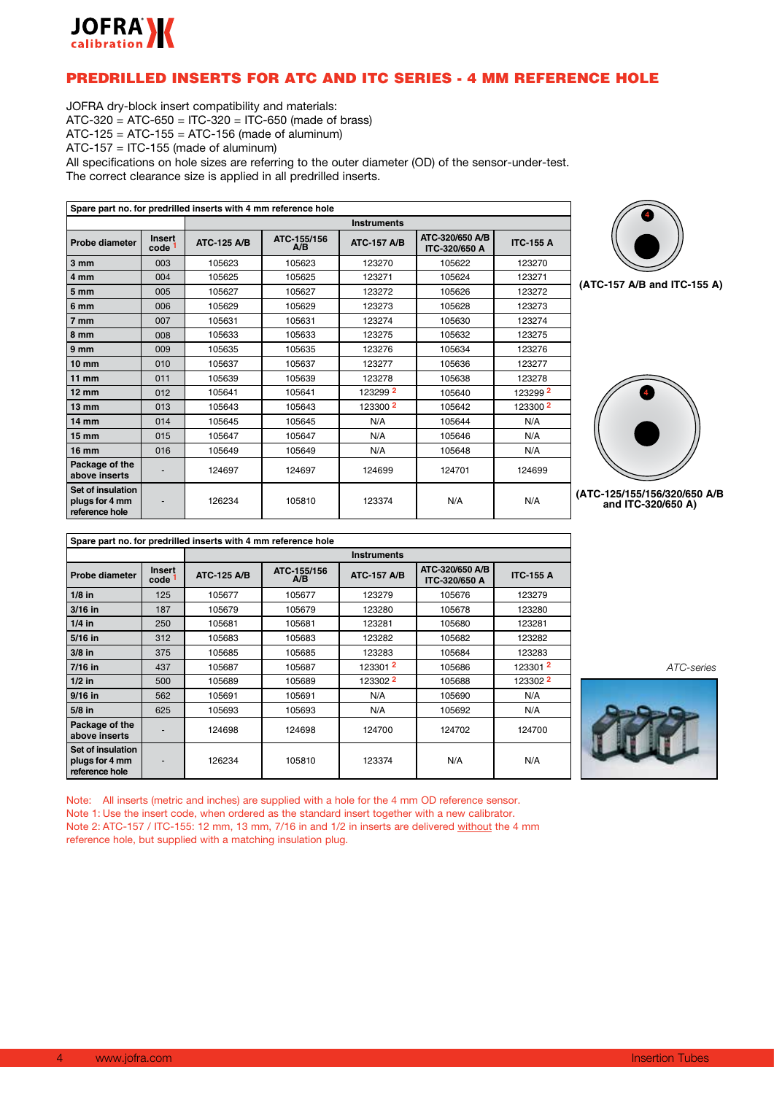

# PREDRILLED INSERTS FOR ATC AND ITC SERIES - 4 MM REFERENCE HOLE

JOFRA dry-block insert compatibility and materials: ATC-320 = ATC-650 = ITC-320 = ITC-650 (made of brass)  $ATC-125 = ATC-155 = ATC-156$  (made of aluminum) ATC-157 = ITC-155 (made of aluminum) All specifications on hole sizes are referring to the outer diameter (OD) of the sensor-under-test. The correct clearance size is applied in all predrilled inserts.

**Spare part no. for predrilled inserts with 4 mm reference hole Instruments Probe diameter** | **Insert code code 1 ATC-125 A/B ATC-155/156 A/B ATC-157 A/B ATC-320/650 A/B ITC-320/650 A ITC-155 A 3 mm** | 003 | 105623 | 105623 | 123270 | 105622 | 123270 **4 mm** 004 105625 105625 123271 105624 123271 **5 mm** | 005 | 105627 | 105627 | 123272 | 105626 | 123272 **6 mm** 006 105629 105629 123273 105628 123273 **7 mm** | 007 | 105631 | 103274 | 105630 | 123274 **8 mm** | 008 | 105633 | 123275 105632 123275 **9 mm** | 009 | 105635 | 105635 | 123276 105634 | 123276 **10 mm** 010 105637 105637 123277 105636 123277 **11 mm** | 011 | 105639 | 105639 | 123278 123278 **12 mm** 012 105641 105641 123299 **2** 105640 123299 **2 13 mm** 013 105643 105643 123300 **2** 105642 123300 **2 14 mm** 014 105645 105645 N/A 105644 N/A **15 mm** 015 105647 105647 N/A 105646 N/A **16 mm** 016 105649 105649 N/A 105648 N/A **Package of the above inserts**  $\begin{vmatrix} 1 & 124697 & 124697 \end{vmatrix}$  124699 124701 124699 **Set of insulation plugs for 4 mm reference hole** - | 126234 | 105810 | 123374 | N/A | N/A



**(ATC-157 A/B and ITC-155 A)**



**(ATC-125/155/156/320/650 A/B and ITC-320/650 A)**

| Spare part no. for predrilled inserts with 4 mm reference hole |                          |                    |                    |                    |                                         |                  |  |  |  |  |
|----------------------------------------------------------------|--------------------------|--------------------|--------------------|--------------------|-----------------------------------------|------------------|--|--|--|--|
|                                                                |                          |                    | <b>Instruments</b> |                    |                                         |                  |  |  |  |  |
| Probe diameter                                                 | <b>Insert</b><br>code 1  | <b>ATC-125 A/B</b> | ATC-155/156<br>A/B | <b>ATC-157 A/B</b> | ATC-320/650 A/B<br><b>ITC-320/650 A</b> | <b>ITC-155 A</b> |  |  |  |  |
| $1/8$ in                                                       | 125                      | 105677             | 105677             | 123279             | 105676                                  | 123279           |  |  |  |  |
| $3/16$ in                                                      | 187                      | 105679             | 105679             | 123280             | 105678                                  | 123280           |  |  |  |  |
| $1/4$ in                                                       | 250                      | 105681             | 105681             | 123281             | 105680                                  | 123281           |  |  |  |  |
| 5/16 in                                                        | 312                      | 105683             | 105683             | 123282             | 105682                                  | 123282           |  |  |  |  |
| $3/8$ in                                                       | 375                      | 105685             | 105685             | 123283             | 105684                                  | 123283           |  |  |  |  |
| $7/16$ in                                                      | 437                      | 105687             | 105687             | 123301 2           | 105686                                  | 1233012          |  |  |  |  |
| $1/2$ in                                                       | 500                      | 105689             | 105689             | 123302 2           | 105688                                  | 123302 2         |  |  |  |  |
| $9/16$ in                                                      | 562                      | 105691             | 105691             | N/A                | 105690                                  | N/A              |  |  |  |  |
| 5/8 in                                                         | 625                      | 105693             | 105693             | N/A                | 105692                                  | N/A              |  |  |  |  |
| Package of the<br>above inserts                                |                          | 124698             | 124698             | 124700             | 124702                                  | 124700           |  |  |  |  |
| Set of insulation<br>plugs for 4 mm<br>reference hole          | $\overline{\phantom{0}}$ | 126234             | 105810             | 123374             | N/A                                     | N/A              |  |  |  |  |

*ATC-series*

Note: All inserts (metric and inches) are supplied with a hole for the 4 mm OD reference sensor. Note 1: Use the insert code, when ordered as the standard insert together with a new calibrator. Note 2: ATC-157 / ITC-155: 12 mm, 13 mm, 7/16 in and 1/2 in inserts are delivered without the 4 mm reference hole, but supplied with a matching insulation plug.

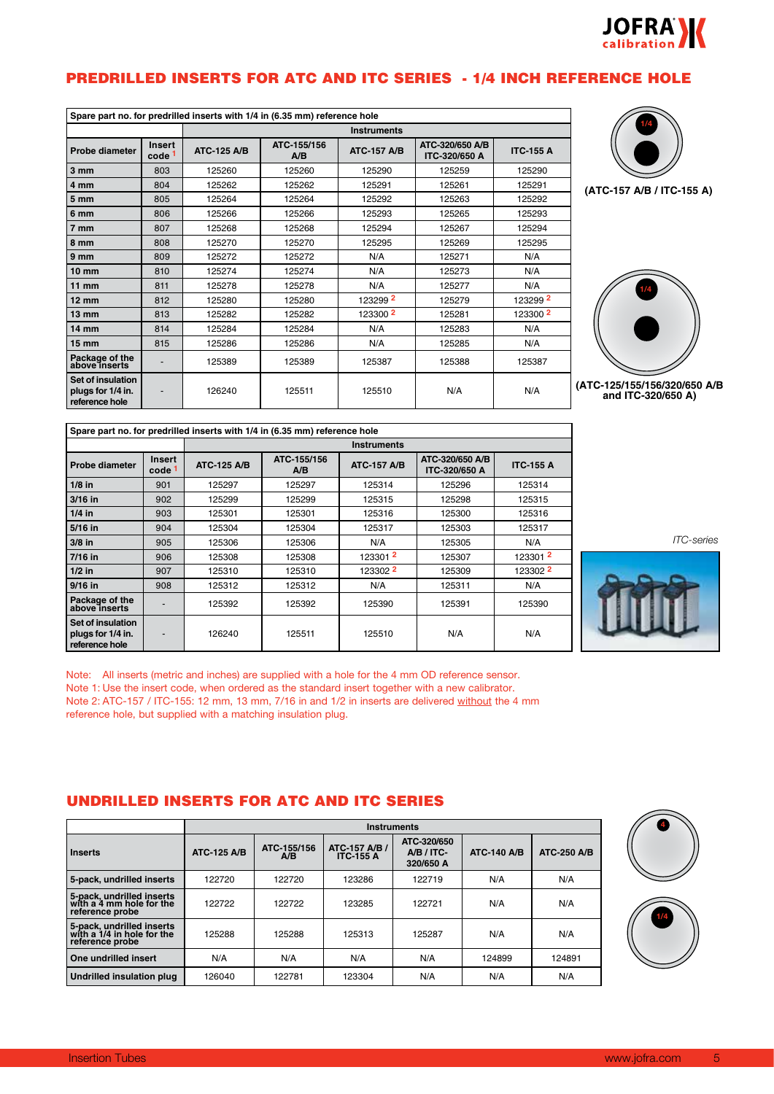

# PREDRILLED INSERTS FOR ATC AND ITC SERIES - 1/4 INCH REFERENCE HOLE

| Spare part no. for predrilled inserts with 1/4 in (6.35 mm) reference hole |                                    |                    |                    |                     |                                  |                     |  |  |  |
|----------------------------------------------------------------------------|------------------------------------|--------------------|--------------------|---------------------|----------------------------------|---------------------|--|--|--|
|                                                                            |                                    |                    | <b>Instruments</b> |                     |                                  |                     |  |  |  |
| Probe diameter                                                             | <b>Insert</b><br>code <sup>1</sup> | <b>ATC-125 A/B</b> | ATC-155/156<br>A/B | <b>ATC-157 A/B</b>  | ATC-320/650 A/B<br>ITC-320/650 A | <b>ITC-155 A</b>    |  |  |  |
| 3 mm                                                                       | 803                                | 125260             | 125260             | 125290              | 125259                           | 125290              |  |  |  |
| 4 mm                                                                       | 804                                | 125262             | 125262             | 125291              | 125261                           | 125291              |  |  |  |
| 5 <sub>mm</sub>                                                            | 805                                | 125264             | 125264             | 125292              | 125263                           | 125292              |  |  |  |
| 6 <sub>mm</sub>                                                            | 806                                | 125266             | 125266             | 125293              | 125265                           | 125293              |  |  |  |
| 7 mm                                                                       | 807                                | 125268             | 125268             | 125294              | 125267                           | 125294              |  |  |  |
| 8 mm                                                                       | 808                                | 125270             | 125270             | 125295              | 125269                           | 125295              |  |  |  |
| 9 <sub>mm</sub>                                                            | 809                                | 125272             | 125272             | N/A                 | 125271                           | N/A                 |  |  |  |
| $10 \text{ mm}$                                                            | 810                                | 125274             | 125274             | N/A                 | 125273                           | N/A                 |  |  |  |
| $11$ mm                                                                    | 811                                | 125278             | 125278             | N/A                 | 125277                           | N/A                 |  |  |  |
| $12 \text{ mm}$                                                            | 812                                | 125280             | 125280             | 123299 2            | 125279                           | 123299 2            |  |  |  |
| $13 \text{ mm}$                                                            | 813                                | 125282             | 125282             | 123300 <sup>2</sup> | 125281                           | 123300 <sup>2</sup> |  |  |  |
| $14 \text{ mm}$                                                            | 814                                | 125284             | 125284             | N/A                 | 125283                           | N/A                 |  |  |  |
| $15 \text{ mm}$                                                            | 815                                | 125286             | 125286             | N/A                 | 125285                           | N/A                 |  |  |  |
| Package of the<br>above inserts                                            |                                    | 125389             | 125389             | 125387              | 125388                           | 125387              |  |  |  |
| Set of insulation<br>plugs for 1/4 in.<br>reference hole                   |                                    | 126240             | 125511             | 125510              | N/A                              | N/A                 |  |  |  |





**(ATC-125/155/156/320/650 A/B and ITC-320/650 A)**

| Spare part no. for predrilled inserts with 1/4 in (6.35 mm) reference hole |                             |                    |                    |                    |                                  |                  |  |  |  |
|----------------------------------------------------------------------------|-----------------------------|--------------------|--------------------|--------------------|----------------------------------|------------------|--|--|--|
|                                                                            |                             |                    | <b>Instruments</b> |                    |                                  |                  |  |  |  |
| Probe diameter                                                             | Insert<br>code <sup>1</sup> | <b>ATC-125 A/B</b> | ATC-155/156<br>A/B | <b>ATC-157 A/B</b> | ATC-320/650 A/B<br>ITC-320/650 A | <b>ITC-155 A</b> |  |  |  |
| $1/8$ in                                                                   | 901                         | 125297             | 125297             | 125314             | 125296                           | 125314           |  |  |  |
| 3/16 in                                                                    | 902                         | 125299             | 125299             | 125315             | 125298                           | 125315           |  |  |  |
| $1/4$ in                                                                   | 903                         | 125301             | 125301             | 125316             | 125300                           | 125316           |  |  |  |
| 5/16 in                                                                    | 904                         | 125304             | 125304             | 125317             | 125303                           | 125317           |  |  |  |
| $3/8$ in                                                                   | 905                         | 125306             | 125306             | N/A                | 125305                           | N/A              |  |  |  |
| $7/16$ in                                                                  | 906                         | 125308             | 125308             | 1233012            | 125307                           | 1233012          |  |  |  |
| $1/2$ in                                                                   | 907                         | 125310             | 125310             | 123302 2           | 125309                           | 123302 2         |  |  |  |
| $9/16$ in                                                                  | 908                         | 125312             | 125312             | N/A                | 125311                           | N/A              |  |  |  |
| Package of the<br>above inserts                                            |                             | 125392             | 125392             | 125390             | 125391                           | 125390           |  |  |  |
| Set of insulation<br>plugs for 1/4 in.<br>reference hole                   |                             | 126240             | 125511             | 125510             | N/A                              | N/A              |  |  |  |

*ITC-series*



Note: All inserts (metric and inches) are supplied with a hole for the 4 mm OD reference sensor. Note 1: Use the insert code, when ordered as the standard insert together with a new calibrator. Note 2: ATC-157 / ITC-155: 12 mm, 13 mm, 7/16 in and 1/2 in inserts are delivered without the 4 mm reference hole, but supplied with a matching insulation plug.

# UNDRILLED INSERTS FOR ATC AND ITC SERIES

|                                                                            | <b>Instruments</b> |                    |                                          |                                        |                    |                    |  |  |
|----------------------------------------------------------------------------|--------------------|--------------------|------------------------------------------|----------------------------------------|--------------------|--------------------|--|--|
| Inserts                                                                    | <b>ATC-125 A/B</b> | ATC-155/156<br>A/B | <b>ATC-157 A/B /</b><br><b>ITC-155 A</b> | ATC-320/650<br>A/B / ITC-<br>320/650 A | <b>ATC-140 A/B</b> | <b>ATC-250 A/B</b> |  |  |
| 5-pack, undrilled inserts                                                  | 122720             | 122720             | 123286                                   | 122719                                 | N/A                | N/A                |  |  |
| 5-pack, undrilled inserts<br>with a 4 mm hole for the<br>reference probe   | 122722             | 122722             | 123285                                   | 122721                                 | N/A                | N/A                |  |  |
| 5-pack, undrilled inserts<br>with a 1/4 in hole for the<br>reference probe | 125288             | 125288             | 125313                                   | 125287                                 | N/A                | N/A                |  |  |
| One undrilled insert                                                       | N/A                | N/A                | N/A                                      | N/A                                    | 124899             | 124891             |  |  |
| <b>Undrilled insulation plug</b>                                           | 126040             | 122781             | 123304                                   | N/A                                    | N/A                | N/A                |  |  |



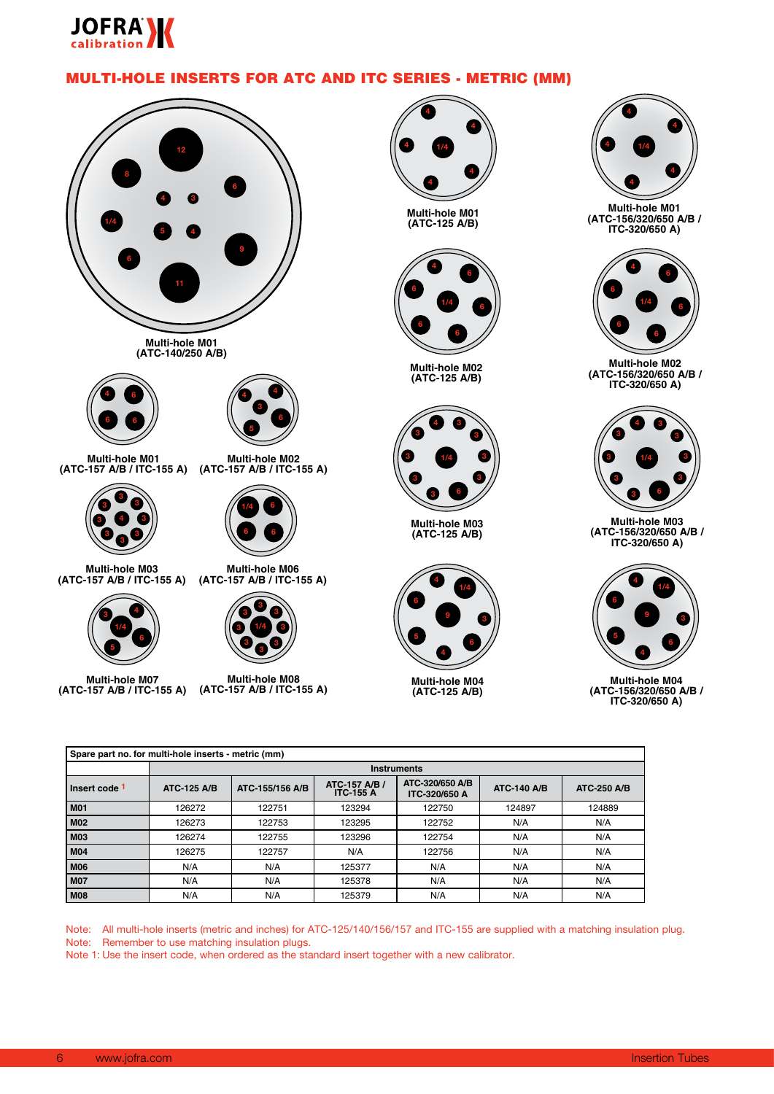

# MULTI-HOLE INSERTS FOR ATC AND ITC SERIES - METRIC (MM)



**Multi-hole M01 (ATC-140/250 A/B)**





**Multi-hole M01 (ATC-157 A/B / ITC-155 A) (ATC-157 A/B / ITC-155 A)**



**Multi-hole M02**



**Multi-hole M03 (ATC-157 A/B / ITC-155 A)**



**Multi-hole M07 (ATC-157 A/B / ITC-155 A)**



**Multi-hole M08 (ATC-157 A/B / ITC-155 A)**



**Multi-hole M01 (ATC-125 A/B)**



**Multi-hole M02 (ATC-125 A/B)**



**Multi-hole M03 (ATC-125 A/B)**



**Multi-hole M04 (ATC-125 A/B)**



**Multi-hole M01 (ATC-156/320/650 A/B / ITC-320/650 A)**



**Multi-hole M02 (ATC-156/320/650 A/B / ITC-320/650 A)**



**Multi-hole M03 (ATC-156/320/650 A/B / ITC-320/650 A)**



**Multi-hole M04 (ATC-156/320/650 A/B / ITC-320/650 A)**

| Spare part no. for multi-hole inserts - metric (mm) |                    |                    |                                   |                                  |                    |                    |  |  |  |
|-----------------------------------------------------|--------------------|--------------------|-----------------------------------|----------------------------------|--------------------|--------------------|--|--|--|
|                                                     |                    | <b>Instruments</b> |                                   |                                  |                    |                    |  |  |  |
| Insert code 1                                       | <b>ATC-125 A/B</b> | ATC-155/156 A/B    | ATC-157 A/B /<br><b>ITC-155 A</b> | ATC-320/650 A/B<br>ITC-320/650 A | <b>ATC-140 A/B</b> | <b>ATC-250 A/B</b> |  |  |  |
| <b>M01</b>                                          | 126272             | 122751             | 123294                            | 122750                           | 124897             | 124889             |  |  |  |
| <b>M02</b>                                          | 126273             | 122753             | 123295                            | 122752                           | N/A                | N/A                |  |  |  |
| <b>M03</b>                                          | 126274             | 122755             | 123296                            | 122754                           | N/A                | N/A                |  |  |  |
| <b>M04</b>                                          | 126275             | 122757             | N/A                               | 122756                           | N/A                | N/A                |  |  |  |
| <b>M06</b>                                          | N/A                | N/A                | 125377                            | N/A                              | N/A                | N/A                |  |  |  |
| <b>M07</b>                                          | N/A                | N/A                | 125378                            | N/A                              | N/A                | N/A                |  |  |  |
| <b>M08</b>                                          | N/A                | N/A                | 125379                            | N/A                              | N/A                | N/A                |  |  |  |

Note: All multi-hole inserts (metric and inches) for ATC-125/140/156/157 and ITC-155 are supplied with a matching insulation plug. Note: Remember to use matching insulation plugs.

Note 1: Use the insert code, when ordered as the standard insert together with a new calibrator.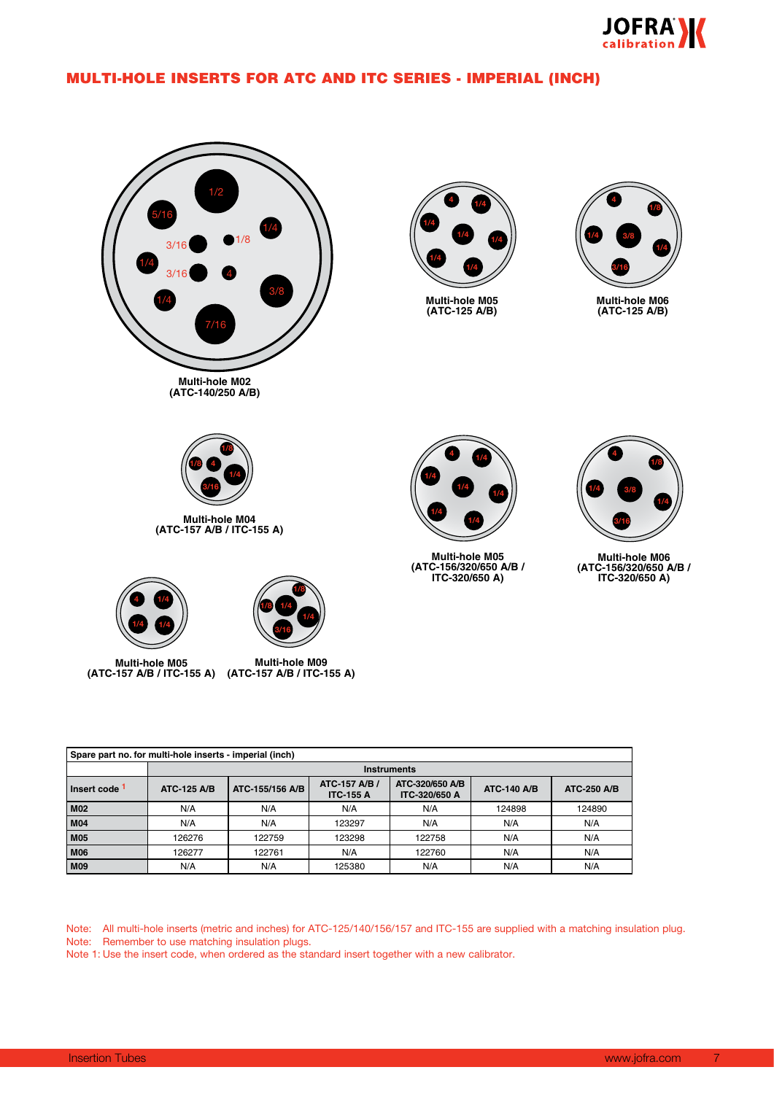

# MULTI-HOLE INSERTS FOR ATC AND ITC SERIES - IMPERIAL (INCH)



**Multi-hole M04 (ATC-157 A/B / ITC-155 A)**



**(ATC-157 A/B / ITC-155 A)**

**Multi-hole M09 (ATC-157 A/B / ITC-155 A) Multi-hole M05**

**3/16 1/4** **1/8**

**1/8**

**1/4**



**(ATC-125 A/B)**



**1/4 1/4 1/4 1/4 4 1/4**

**Multi-hole M05 (ATC-156/320/650 A/B / ITC-320/650 A)**



**Multi-hole M06 (ATC-156/320/650 A/B / ITC-320/650 A)**

| Spare part no. for multi-hole inserts - imperial (inch) |                    |                 |                                         |                                         |                    |                    |  |  |
|---------------------------------------------------------|--------------------|-----------------|-----------------------------------------|-----------------------------------------|--------------------|--------------------|--|--|
|                                                         | <b>Instruments</b> |                 |                                         |                                         |                    |                    |  |  |
| Insert code 1                                           | <b>ATC-125 A/B</b> | ATC-155/156 A/B | <b>ATC-157 A/B/</b><br><b>ITC-155 A</b> | ATC-320/650 A/B<br><b>ITC-320/650 A</b> | <b>ATC-140 A/B</b> | <b>ATC-250 A/B</b> |  |  |
| <b>M02</b>                                              | N/A                | N/A             | N/A                                     | N/A                                     | 124898             | 124890             |  |  |
| <b>M04</b>                                              | N/A                | N/A             | 123297                                  | N/A                                     | N/A                | N/A                |  |  |
| <b>M05</b>                                              | 126276             | 122759          | 123298                                  | 122758                                  | N/A                | N/A                |  |  |
| <b>M06</b>                                              | 126277             | 122761          | N/A                                     | 122760                                  | N/A                | N/A                |  |  |
| <b>M09</b>                                              | N/A                | N/A             | 125380                                  | N/A                                     | N/A                | N/A                |  |  |

Note: All multi-hole inserts (metric and inches) for ATC-125/140/156/157 and ITC-155 are supplied with a matching insulation plug. Note: Remember to use matching insulation plugs.

Note 1: Use the insert code, when ordered as the standard insert together with a new calibrator.